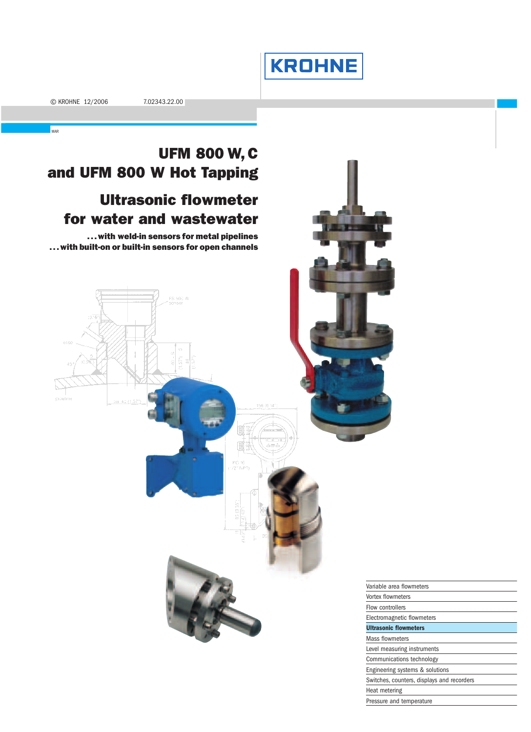

# **UFM 800 W, C** and UFM 800 W Hot Tapping

# Ultrasonic flowmeter for water and wastewater

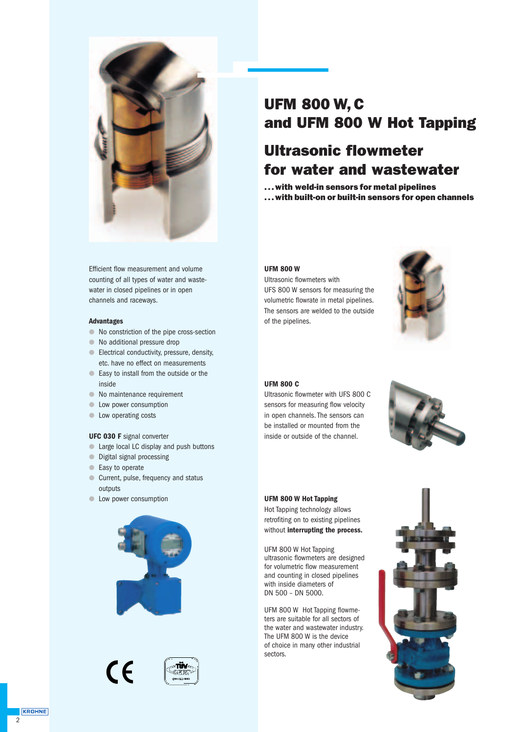

Efficient flow measurement and volume counting of all types of water and wastewater in closed pipelines or in open channels and raceways.

#### **Advantages**

- No constriction of the pipe cross-section
- No additional pressure drop
- Electrical conductivity, pressure, density, etc. have no effect on measurements
- Easy to install from the outside or the inside
- No maintenance requirement
- **C** Low power consumption
- Low operating costs

#### **UFC 030 F** signal converter

- Large local LC display and push buttons
- Digital signal processing
- Easy to operate
- Current, pulse, frequency and status outputs
- **Low power consumption**







# UFM 800 W, C and UFM 800 W Hot Tapping

# Ultrasonic flowmeter for water and wastewater

...with weld-in sensors for metal pipelines ...with built-on or built-in sensors for open channels

#### **UFM 800 W**

Ultrasonic flowmeters with UFS 800 W sensors for measuring the volumetric flowrate in metal pipelines. The sensors are welded to the outside of the pipelines.



#### **UFM 800 C**

Ultrasonic flowmeter with UFS 800 C sensors for measuring flow velocity in open channels. The sensors can be installed or mounted from the inside or outside of the channel.



#### **UFM 800 W Hot Tapping**

Hot Tapping technology allows retrofiting on to existing pipelines without **interrupting the process.**

UFM 800 W Hot Tapping ultrasonic flowmeters are designed for volumetric flow measurement and counting in closed pipelines with inside diameters of DN 500 – DN 5000.

UFM 800 W Hot Tapping flowmeters are suitable for all sectors of the water and wastewater industry. The UFM 800 W is the device of choice in many other industrial sectors.



KROHNE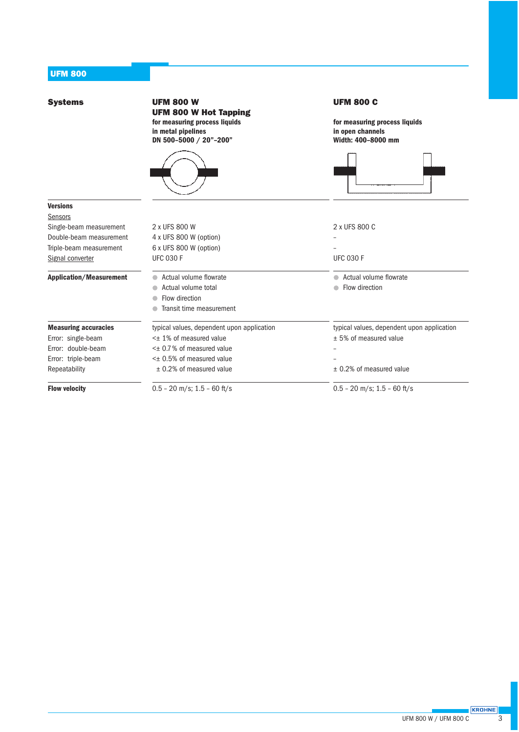# Systems

UFM 800 W UFM 800 W Hot Tapping **for measuring process liquids in metal pipelines DN 500–5000 / 20"–200"**



# UFM 800 C

**for measuring process liquids in open channels Width: 400–8000 mm**



| <b>Versions</b>                      |                                            |                                            |  |  |
|--------------------------------------|--------------------------------------------|--------------------------------------------|--|--|
| Sensors                              |                                            |                                            |  |  |
| Single-beam measurement              | 2 x UFS 800 W                              | 2 x UFS 800 C                              |  |  |
| Double-beam measurement              | 4 x UFS 800 W (option)                     |                                            |  |  |
| Triple-beam measurement              | 6 x UFS 800 W (option)                     |                                            |  |  |
| <b>UFC 030 F</b><br>Signal converter |                                            | <b>UFC 030 F</b>                           |  |  |
| <b>Application/Measurement</b>       | Actual volume flowrate                     | Actual volume flowrate                     |  |  |
|                                      | Actual volume total                        | Flow direction                             |  |  |
|                                      | Flow direction                             |                                            |  |  |
|                                      | Transit time measurement                   |                                            |  |  |
| <b>Measuring accuracies</b>          | typical values, dependent upon application | typical values, dependent upon application |  |  |
| Error: single-beam                   | $\leq$ 1% of measured value                | ± 5% of measured value                     |  |  |
| Error: double-beam                   | $\leq$ 0.7% of measured value              |                                            |  |  |
| Error: triple-beam                   | $\leq$ 0.5% of measured value              |                                            |  |  |
| Repeatability                        | $\pm$ 0.2% of measured value               | $\pm$ 0.2% of measured value               |  |  |
| <b>Flow velocity</b>                 | $0.5 - 20$ m/s; 1.5 - 60 ft/s              | $0.5 - 20$ m/s; $1.5 - 60$ ft/s            |  |  |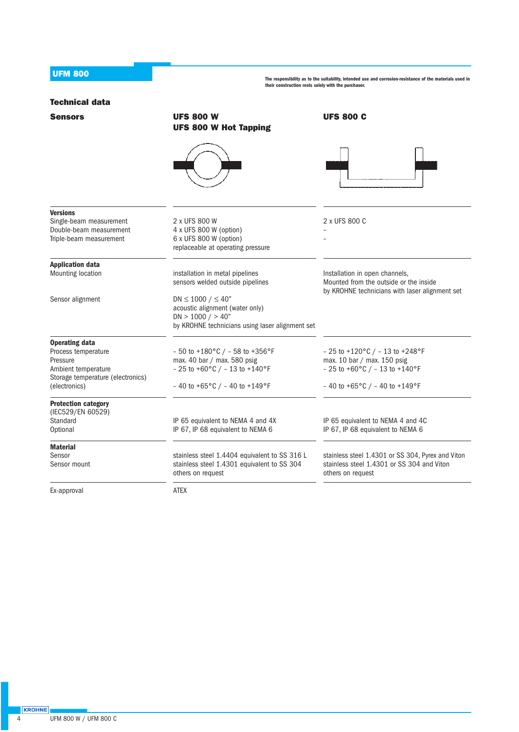| <b>UFM 800</b>                                                                                                                        |                                                                                                                                                              | The responsibility as to the suitability, intended use and corrosion-resistance of the materials used in                                                     |  |
|---------------------------------------------------------------------------------------------------------------------------------------|--------------------------------------------------------------------------------------------------------------------------------------------------------------|--------------------------------------------------------------------------------------------------------------------------------------------------------------|--|
| <b>Technical data</b>                                                                                                                 | their construction rests solely with the purchaser.                                                                                                          |                                                                                                                                                              |  |
| <b>Sensors</b>                                                                                                                        | UFS 800 W<br><b>UFS 800 W Hot Tapping</b>                                                                                                                    | <b>UFS 800 C</b>                                                                                                                                             |  |
|                                                                                                                                       |                                                                                                                                                              |                                                                                                                                                              |  |
| <b>Versions</b><br>Single-beam measurement<br>Double-beam measurement<br>Triple-beam measurement                                      | 2 x UFS 800 W<br>4 x UFS 800 W (option)<br>6 x UFS 800 W (option)<br>replaceable at operating pressure                                                       | 2 x UFS 800 C                                                                                                                                                |  |
| <b>Application data</b><br><b>Mounting location</b>                                                                                   | installation in metal pipelines<br>sensors welded outside pipelines                                                                                          | Installation in open channels,<br>Mounted from the outside or the inside<br>by KROHNE technicians with laser alignment set                                   |  |
| Sensor alignment                                                                                                                      | $DN \le 1000 / \le 40"$<br>acoustic alignment (water only)<br>DN > 1000 / > 40"<br>by KROHNE technicians using laser alignment set                           |                                                                                                                                                              |  |
| <b>Operating data</b><br>Process temperature<br>Pressure<br>Ambient temperature<br>Storage temperature (electronics)<br>(electronics) | $-50$ to +180°C / - 58 to +356°F<br>max, 40 bar / max, 580 psig<br>$-25$ to +60°C / - 13 to +140°F<br>$-$ 40 to +65 $^{\circ}$ C / - 40 to +149 $^{\circ}$ F | $-$ 25 to +120°C / - 13 to +248°F<br>max. 10 bar / max. 150 psig<br>- 25 to +60°C / - 13 to +140°F<br>$-$ 40 to +65 $^{\circ}$ C / - 40 to +149 $^{\circ}$ F |  |
| <b>Protection category</b><br>(IEC529/EN 60529)<br>Standard<br>Optional                                                               | IP 65 equivalent to NEMA 4 and 4X<br>IP 67, IP 68 equivalent to NEMA 6                                                                                       | IP 65 equivalent to NEMA 4 and 4C<br>IP 67, IP 68 equivalent to NEMA 6                                                                                       |  |
| <b>Material</b><br>Sensor<br>Sensor mount                                                                                             | stainless steel 1.4404 equivalent to SS 316 L<br>stainless steel 1.4301 equivalent to SS 304<br>others on request                                            | stainless steel 1.4301 or SS 304, Pyrex and Viton<br>stainless steel 1.4301 or SS 304 and Viton<br>others on request                                         |  |
| Ex-approval                                                                                                                           | <b>ATEX</b>                                                                                                                                                  |                                                                                                                                                              |  |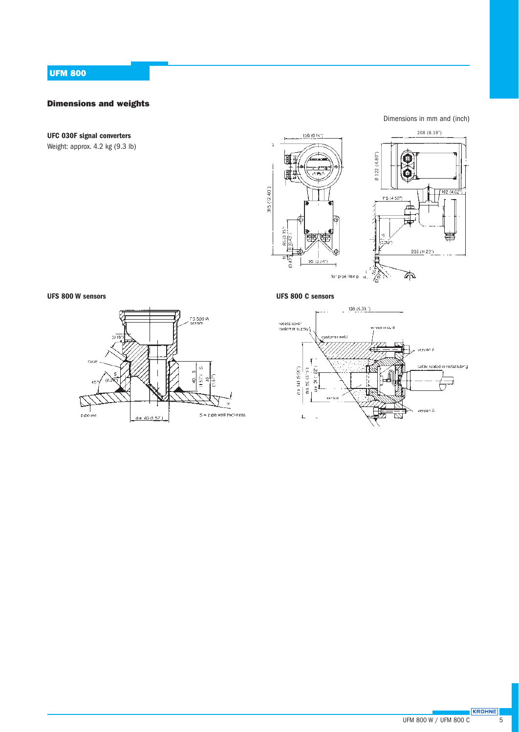# Dimensions and weights

# **UFC 030F signal converters** Weight: approx. 4.2 kg (9.3 lb)

# 208 (8.19")  $-156(614)$  $0122(4.80")$ Ø 122 (4.80")y×

Dimensions in mm and (inch)





#### **UFS 800 W sensors UFS 800 C sensors**

 $\overline{a}$  $\mathbf{r}$ 

 $\mathbf{u}$ .

315 (12.40")

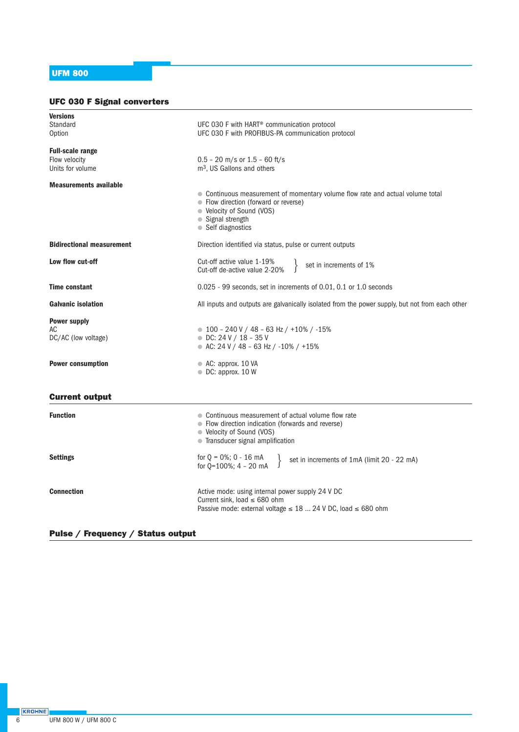# UFC 030 F Signal converters

| <b>Versions</b><br>Standard<br>Option                        | UFC 030 F with HART <sup>®</sup> communication protocol<br>UFC 030 F with PROFIBUS-PA communication protocol                                                                                    |  |  |
|--------------------------------------------------------------|-------------------------------------------------------------------------------------------------------------------------------------------------------------------------------------------------|--|--|
| <b>Full-scale range</b><br>Flow velocity<br>Units for volume | $0.5 - 20$ m/s or $1.5 - 60$ ft/s<br>m <sup>3</sup> , US Gallons and others                                                                                                                     |  |  |
| <b>Measurements available</b>                                | • Continuous measurement of momentary volume flow rate and actual volume total<br>• Flow direction (forward or reverse)<br>• Velocity of Sound (VOS)<br>• Signal strength<br>• Self diagnostics |  |  |
| <b>Bidirectional measurement</b>                             | Direction identified via status, pulse or current outputs                                                                                                                                       |  |  |
| Low flow cut-off                                             | Cut-off active value 1-19%<br>set in increments of 1%<br>Cut-off de-active value 2-20%                                                                                                          |  |  |
| <b>Time constant</b>                                         | 0.025 - 99 seconds, set in increments of 0.01, 0.1 or 1.0 seconds                                                                                                                               |  |  |
| <b>Galvanic isolation</b>                                    | All inputs and outputs are galvanically isolated from the power supply, but not from each other                                                                                                 |  |  |
| <b>Power supply</b><br>АC<br>DC/AC (low voltage)             | $\bullet$ 100 - 240 V / 48 - 63 Hz / +10% / -15%<br>$\bullet$ DC: 24 V / 18 - 35 V<br>• AC: 24 V / 48 - 63 Hz / -10% / +15%                                                                     |  |  |
| <b>Power consumption</b>                                     | $\bullet$ AC: approx. 10 VA<br>$\bullet$ DC: approx. 10 W                                                                                                                                       |  |  |
| <b>Current output</b>                                        |                                                                                                                                                                                                 |  |  |
| <b>Function</b>                                              | • Continuous measurement of actual volume flow rate<br>• Flow direction indication (forwards and reverse)<br>• Velocity of Sound (VOS)<br>• Transducer signal amplification                     |  |  |
| <b>Settings</b>                                              | for $Q = 0\%$ ; 0 - 16 mA<br>set in increments of 1mA (limit 20 - 22 mA)<br>for $Q=100\%$ ; 4 - 20 mA                                                                                           |  |  |
| <b>Connection</b>                                            | Active mode: using internal power supply 24 V DC<br>Current sink, load $\leq 680$ ohm<br>Passive mode: external voltage $\leq$ 18  24 V DC, load $\leq$ 680 ohm                                 |  |  |

# Pulse / Frequency / Status output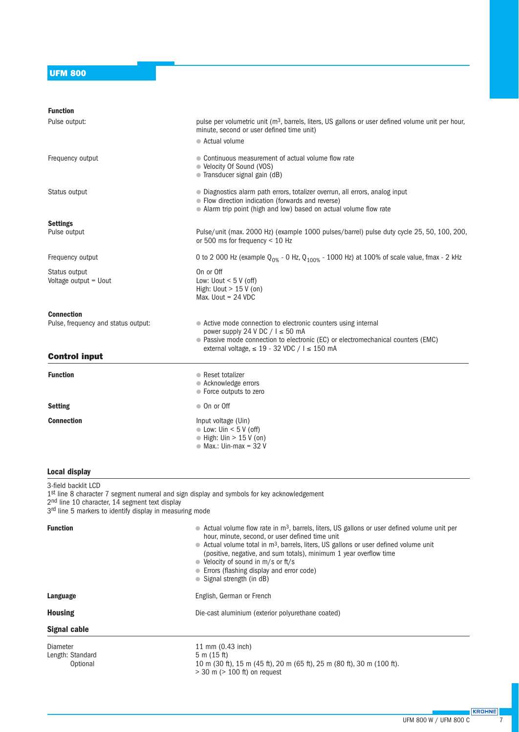| <b>Function</b>                                                                                                                                                                                                                              |                                                                                                                                                                                                          |  |  |
|----------------------------------------------------------------------------------------------------------------------------------------------------------------------------------------------------------------------------------------------|----------------------------------------------------------------------------------------------------------------------------------------------------------------------------------------------------------|--|--|
| Pulse output:                                                                                                                                                                                                                                | pulse per volumetric unit (m <sup>3</sup> , barrels, liters, US gallons or user defined volume unit per hour,<br>minute, second or user defined time unit)                                               |  |  |
|                                                                                                                                                                                                                                              | • Actual volume                                                                                                                                                                                          |  |  |
| Frequency output                                                                                                                                                                                                                             | • Continuous measurement of actual volume flow rate<br>· Velocity Of Sound (VOS)<br>• Transducer signal gain (dB)                                                                                        |  |  |
| Status output                                                                                                                                                                                                                                | · Diagnostics alarm path errors, totalizer overrun, all errors, analog input<br>• Flow direction indication (forwards and reverse)<br>• Alarm trip point (high and low) based on actual volume flow rate |  |  |
| <b>Settings</b>                                                                                                                                                                                                                              |                                                                                                                                                                                                          |  |  |
| Pulse output                                                                                                                                                                                                                                 | Pulse/unit (max. 2000 Hz) (example 1000 pulses/barrel) pulse duty cycle 25, 50, 100, 200,<br>or 500 ms for frequency $< 10$ Hz                                                                           |  |  |
| Frequency output                                                                                                                                                                                                                             | 0 to 2 000 Hz (example $Q_{0\%}$ - 0 Hz, $Q_{100\%}$ - 1000 Hz) at 100% of scale value, fmax - 2 kHz                                                                                                     |  |  |
| Status output                                                                                                                                                                                                                                | On or Off                                                                                                                                                                                                |  |  |
| Voltage output = Uout                                                                                                                                                                                                                        | Low: Uout $<$ 5 V (off)<br>High: Uout $> 15$ V (on)                                                                                                                                                      |  |  |
|                                                                                                                                                                                                                                              | Max. Uout $= 24$ VDC                                                                                                                                                                                     |  |  |
|                                                                                                                                                                                                                                              |                                                                                                                                                                                                          |  |  |
| <b>Connection</b><br>Pulse, frequency and status output:                                                                                                                                                                                     | • Active mode connection to electronic counters using internal                                                                                                                                           |  |  |
|                                                                                                                                                                                                                                              | power supply 24 V DC / $I \le 50$ mA                                                                                                                                                                     |  |  |
|                                                                                                                                                                                                                                              | • Passive mode connection to electronic (EC) or electromechanical counters (EMC)<br>external voltage, $\leq$ 19 - 32 VDC / I $\leq$ 150 mA                                                               |  |  |
| <b>Control input</b>                                                                                                                                                                                                                         |                                                                                                                                                                                                          |  |  |
| <b>Function</b>                                                                                                                                                                                                                              | • Reset totalizer                                                                                                                                                                                        |  |  |
|                                                                                                                                                                                                                                              | • Acknowledge errors                                                                                                                                                                                     |  |  |
|                                                                                                                                                                                                                                              | • Force outputs to zero                                                                                                                                                                                  |  |  |
| <b>Setting</b>                                                                                                                                                                                                                               | • On or Off                                                                                                                                                                                              |  |  |
| <b>Connection</b>                                                                                                                                                                                                                            | Input voltage (Uin)                                                                                                                                                                                      |  |  |
|                                                                                                                                                                                                                                              | $\bullet$ Low: Uin < 5 V (off)<br>$\bullet$ High: Uin > 15 V (on)                                                                                                                                        |  |  |
|                                                                                                                                                                                                                                              | $\bullet$ Max.: Uin-max = 32 V                                                                                                                                                                           |  |  |
|                                                                                                                                                                                                                                              |                                                                                                                                                                                                          |  |  |
| Local display                                                                                                                                                                                                                                |                                                                                                                                                                                                          |  |  |
| 3-field backlit LCD<br>1st line 8 character 7 segment numeral and sign display and symbols for key acknowledgement<br>2 <sup>nd</sup> line 10 character, 14 segment text display<br>3rd line 5 markers to identify display in measuring mode |                                                                                                                                                                                                          |  |  |
| <b>Function</b>                                                                                                                                                                                                                              | $\bullet$ Actual volume flow rate in m <sup>3</sup> , barrels, liters, US gallons or user defined volume unit per                                                                                        |  |  |
|                                                                                                                                                                                                                                              | hour, minute, second, or user defined time unit                                                                                                                                                          |  |  |
|                                                                                                                                                                                                                                              | $\bullet$ Actual volume total in m <sup>3</sup> , barrels, liters, US gallons or user defined volume unit<br>(positive, negative, and sum totals), minimum 1 year overflow time                          |  |  |
|                                                                                                                                                                                                                                              | • Velocity of sound in m/s or ft/s                                                                                                                                                                       |  |  |
|                                                                                                                                                                                                                                              | • Errors (flashing display and error code)                                                                                                                                                               |  |  |
|                                                                                                                                                                                                                                              | Signal strength (in dB)                                                                                                                                                                                  |  |  |
| Language                                                                                                                                                                                                                                     | English, German or French                                                                                                                                                                                |  |  |

# **Housing** Die-cast aluminium (exterior polyurethane coated)

#### **Signal cable**

Length: Standard<br>Optional

Diameter 11 mm (0.43 inch)<br>Length: Standard 5 m (15 ft) Optional 10 m (30 ft), 15 m (45 ft), 20 m (65 ft), 25 m (80 ft), 30 m (100 ft). > 30 m (> 100 ft) on request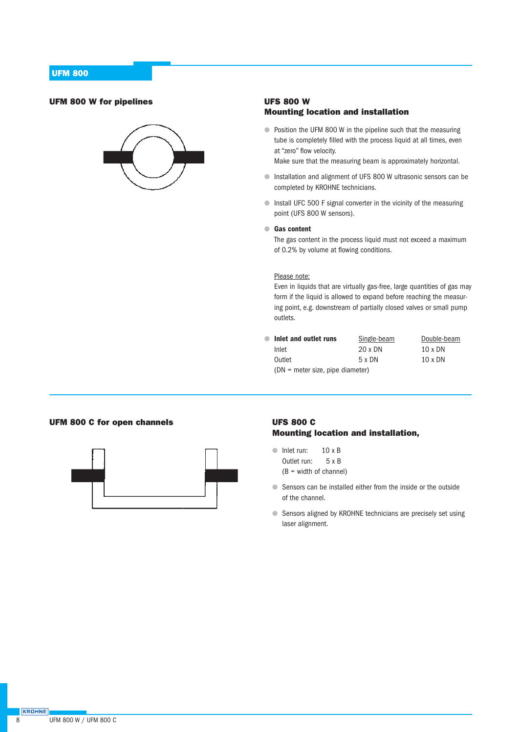#### UFM 800 W for pipelines



## UFS 800 W Mounting location and installation

● Position the UFM 800 W in the pipeline such that the measuring tube is completely filled with the process liquid at all times, even at "zero" flow velocity.

Make sure that the measuring beam is approximately horizontal.

- Installation and alignment of UFS 800 W ultrasonic sensors can be completed by KROHNE technicians.
- Install UFC 500 F signal converter in the vicinity of the measuring point (UFS 800 W sensors).

#### ● **Gas content**

The gas content in the process liquid must not exceed a maximum of 0.2% by volume at flowing conditions.

#### Please note:

Even in liquids that are virtually gas-free, large quantities of gas may form if the liquid is allowed to expand before reaching the measuring point, e.g. downstream of partially closed valves or small pump outlets.

| Inlet and outlet runs              | Single-beam    | Double-beam    |
|------------------------------------|----------------|----------------|
| Inlet                              | $20 \times DN$ | $10 \times DN$ |
| Outlet                             | $5 \times DN$  | $10 \times DN$ |
| $(DN = meter size, pipe diameter)$ |                |                |

### UFM 800 C for open channels



## UFS 800 C Mounting location and installation,

- Inlet run: 10 x B Outlet run: 5 x B (B = width of channel)
- Sensors can be installed either from the inside or the outside of the channel.
- Sensors aligned by KROHNE technicians are precisely set using laser alignment.

**KROHNE**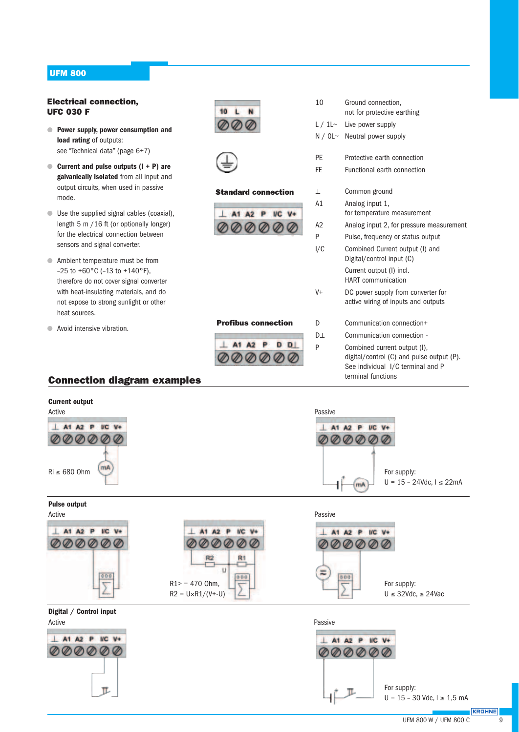## Electrical connection, UFC 030 F

- **Power supply, power consumption and load rating** of outputs: see "Technical data" (page 6+7)
- **Current and pulse outputs (I + P) are galvanically isolated** from all input and output circuits, when used in passive mode.
- Use the supplied signal cables (coaxial), length 5 m /16 ft (or optionally longer) for the electrical connection between sensors and signal converter.
- Ambient temperature must be from –25 to +60°C (–13 to +140°F), therefore do not cover signal converter with heat-insulating materials, and do not expose to strong sunlight or other heat sources.

**Connection diagram examples** 

● Avoid intensive vibration.







| . . |  | ٠ |  |
|-----|--|---|--|
|     |  |   |  |

| 10  | Ground connection,<br>not for protective earthing                                                                                    |
|-----|--------------------------------------------------------------------------------------------------------------------------------------|
|     | $L / 1L$ Live power supply                                                                                                           |
|     | $N / OL \sim$ Neutral power supply                                                                                                   |
| PE  | Protective earth connection                                                                                                          |
| FF  | Functional earth connection                                                                                                          |
| Τ   | Common ground                                                                                                                        |
| A1  | Analog input 1,<br>for temperature measurement                                                                                       |
| A2  | Analog input 2, for pressure measurement                                                                                             |
| P   | Pulse, frequency or status output                                                                                                    |
| 1/C | Combined Current output (I) and<br>Digital/control input (C)                                                                         |
|     | Current output (I) incl.<br><b>HART</b> communication                                                                                |
| V+  | DC power supply from converter for<br>active wiring of inputs and outputs                                                            |
| D   | Communication connection+                                                                                                            |
| D I | Communication connection -                                                                                                           |
| P   | Combined current output (I),<br>digital/control (C) and pulse output (P).<br>See individual I/C terminal and P<br>terminal functions |

# **Current output** Active **Passive Passive** A1 A2 P UC V+ L A1 A2 P VC V+ 000000 000000  $Ri \le 680$  Ohm  $(mA)$  For supply:  $U = 15 - 24$ Vdc,  $I ≤ 22$ mA mA **Pulse output**







 $U = 15 - 30$  Vdc,  $I ≥ 1,5$  mA